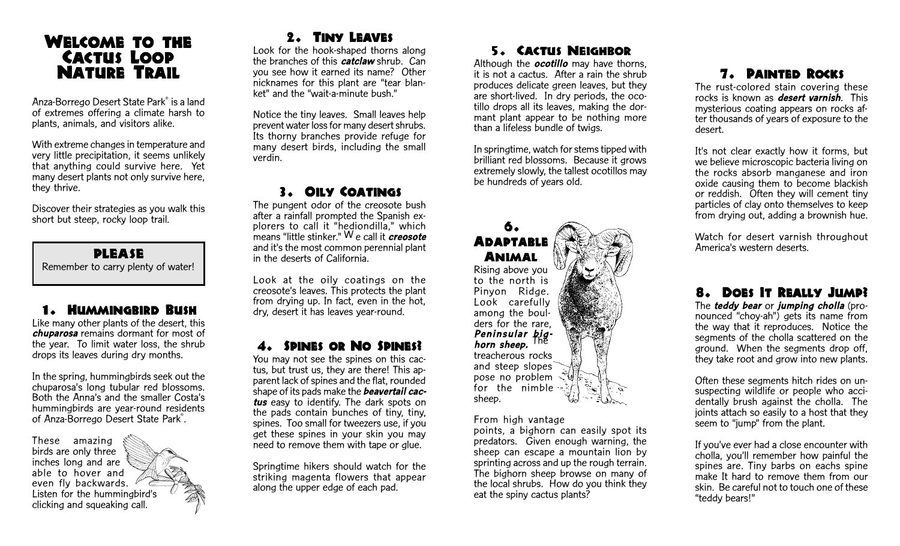# WELCOME TO THE CACTUS LOOP **NATURE TRAIL**

Anza-Borrego Desert State Park® is a land of extremes offering a climate harsh to plants, animals, and visitors alike.

With extreme changes in temperature and very little precipitation, it seems unlikely that anything could survive here. Yet many desert plants not only survive here, they thrive.

Discover their strategies as you walk this short but steep, rocky loop trail.

**PLEASE** Remember to carry plenty of water!

### 1. Hummingbird Bush

Like many other plants of the desert, this chuparosa remains dormant for most of the year. To limit water loss, the shrub drops its leaves during dry months.

In the spring, hummingbirds seek out the chuparosa's long tubular red blossoms. Both the Anna's and the smaller Costa's hummingbirds are year-round residents of Anza-Borrego Desert State Park®.

These amazing birds are only three inches long and are able to hover and even fly backwards. Listen for the hummingbird's clicking and squeaking call.

#### 2. TINY LEAVES

Look for the hook-shaped thorns along the branches of this **catclaw** shrub. Can you see how it earned its name? Other nicknames for this plant are "tear blanket" and the "wait-a-minute bush."

Notice the tiny leaves. Small leaves help prevent water loss for many desert shrubs. Its thorny branches provide refuge for many desert birds, including the small verdin.

# 3. OILY COATINGS

The pungent odor of the creosote bush after a rainfall prompted the Spanish explorers to call it "hediondilla," which means "little stinker."  $\mathsf{W}\,\mathsf{e}$  call it  $\emph{cresote}$ and it's the most common perennial plant in the deserts of California.

Look at the oily coatings on the creosote's leaves. This protects the plant from drying up. In fact, even in the hot, dry, desert it has leaves year-round.

### 4. SPINES OR NO SPINES?

You may not see the spines on this cactus, but trust us, they are there! This apparent lack of spines and the flat, rounded shape of its pads make the **beavertail cac**tus easy to identify. The dark spots on the pads contain bunches of tiny, tiny, spines. Too small for tweezers use, if you get these spines in your skin you may need to remove them with tape or glue.

Springtime hikers should watch for the striking magenta flowers that appear along the upper edge of each pad.

## 5. CACTUS NEIGHBOR

Although the **ocotillo** may have thorns, it is not a cactus. After a rain the shrub produces delicate green leaves, but they are short-lived. In dry periods, the ocotillo drops all its leaves, making the dormant plant appear to be nothing more than a lifeless bundle of twigs.

In springtime, watch for stems tipped with brilliant red blossoms. Because it grows extremely slowly, the tallest ocotillos may be hundreds of years old.

#### 6. **ADAPTABLE** Animal

Rising above you to the north is Pinyon Ridge. Look carefully among the boulders for the rare, Peninsular big-<br>horn sheep. <sup>The</sup> treacherous rocks and steep slopes pose no problem for the nimble sheep.

From high vantage

points, a bighorn can easily spot its predators. Given enough warning, the sheep can escape a mountain lion by sprinting across and up the rough terrain. The bighorn sheep browse on many of the local shrubs. How do you think they eat the spiny cactus plants?

# **7. PAINTED ROCKS**

The rust-colored stain covering these rocks is known as **desert varnish**. This mysterious coating appears on rocks after thousands of years of exposure to the desert.

It's not clear exactly how it forms, but we believe microscopic bacteria living on the rocks absorb manganese and iron oxide causing them to become blackish or reddish. Often they will cement tiny particles of clay onto themselves to keep from drying out, adding a brownish hue.

Watch for desert varnish throughout America's western deserts.

# 8. DOES IT REALLY JUMP?

The **teddy bear** or jumping cholla (pronounced "choy-ah") gets its name from the way that it reproduces. Notice the segments of the cholla scattered on the ground. When the segments drop off, they take root and grow into new plants.

Often these segments hitch rides on unsuspecting wildlife or people who accidentally brush against the cholla. The joints attach so easily to a host that they seem to "jump" from the plant.

If you've ever had a close encounter with cholla, you'll remember how painful the spines are. Tiny barbs on eachs spine make It hard to remove them from our skin. Be careful not to touch one of these "teddy bears!"